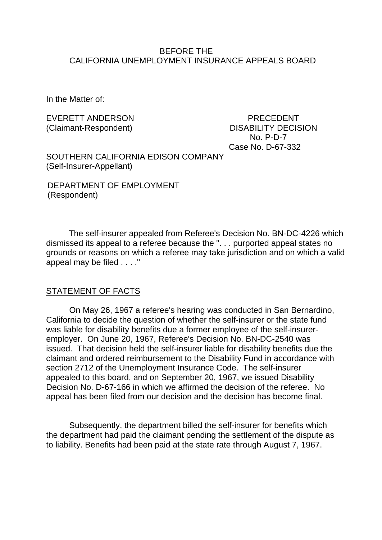#### BEFORE THE CALIFORNIA UNEMPLOYMENT INSURANCE APPEALS BOARD

In the Matter of:

EVERETT ANDERSON PRECEDENT (Claimant-Respondent) DISABILITY DECISION No. P-D-7 Case No. D-67-332

SOUTHERN CALIFORNIA EDISON COMPANY (Self-Insurer-Appellant)

DEPARTMENT OF EMPLOYMENT (Respondent)

The self-insurer appealed from Referee's Decision No. BN-DC-4226 which dismissed its appeal to a referee because the ". . . purported appeal states no grounds or reasons on which a referee may take jurisdiction and on which a valid appeal may be filed . . . ."

### STATEMENT OF FACTS

On May 26, 1967 a referee's hearing was conducted in San Bernardino, California to decide the question of whether the self-insurer or the state fund was liable for disability benefits due a former employee of the self-insureremployer. On June 20, 1967, Referee's Decision No. BN-DC-2540 was issued. That decision held the self-insurer liable for disability benefits due the claimant and ordered reimbursement to the Disability Fund in accordance with section 2712 of the Unemployment Insurance Code. The self-insurer appealed to this board, and on September 20, 1967, we issued Disability Decision No. D-67-166 in which we affirmed the decision of the referee. No appeal has been filed from our decision and the decision has become final.

Subsequently, the department billed the self-insurer for benefits which the department had paid the claimant pending the settlement of the dispute as to liability. Benefits had been paid at the state rate through August 7, 1967.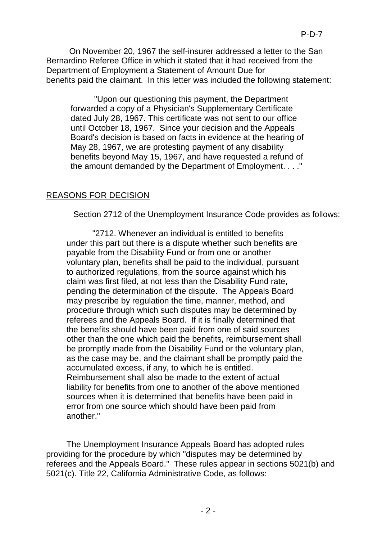On November 20, 1967 the self-insurer addressed a letter to the San Bernardino Referee Office in which it stated that it had received from the Department of Employment a Statement of Amount Due for benefits paid the claimant. In this letter was included the following statement:

"Upon our questioning this payment, the Department forwarded a copy of a Physician's Supplementary Certificate dated July 28, 1967. This certificate was not sent to our office until October 18, 1967. Since your decision and the Appeals Board's decision is based on facts in evidence at the hearing of May 28, 1967, we are protesting payment of any disability benefits beyond May 15, 1967, and have requested a refund of the amount demanded by the Department of Employment. . . ."

## REASONS FOR DECISION

Section 2712 of the Unemployment Insurance Code provides as follows:

"2712. Whenever an individual is entitled to benefits under this part but there is a dispute whether such benefits are payable from the Disability Fund or from one or another voluntary plan, benefits shall be paid to the individual, pursuant to authorized regulations, from the source against which his claim was first filed, at not less than the Disability Fund rate, pending the determination of the dispute. The Appeals Board may prescribe by regulation the time, manner, method, and procedure through which such disputes may be determined by referees and the Appeals Board. If it is finally determined that the benefits should have been paid from one of said sources other than the one which paid the benefits, reimbursement shall be promptly made from the Disability Fund or the voluntary plan, as the case may be, and the claimant shall be promptly paid the accumulated excess, if any, to which he is entitled. Reimbursement shall also be made to the extent of actual liability for benefits from one to another of the above mentioned sources when it is determined that benefits have been paid in error from one source which should have been paid from another."

The Unemployment Insurance Appeals Board has adopted rules providing for the procedure by which "disputes may be determined by referees and the Appeals Board." These rules appear in sections 5021(b) and 5021(c). Title 22, California Administrative Code, as follows: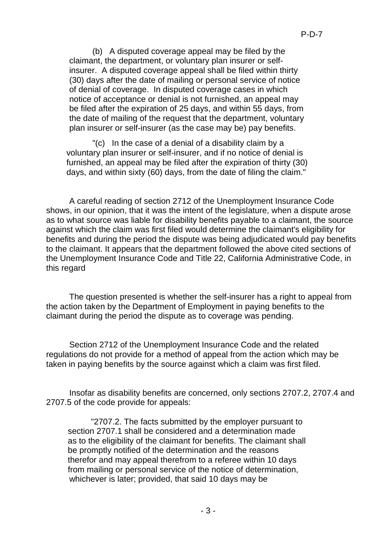(b) A disputed coverage appeal may be filed by the claimant, the department, or voluntary plan insurer or selfinsurer. A disputed coverage appeal shall be filed within thirty (30) days after the date of mailing or personal service of notice of denial of coverage. In disputed coverage cases in which notice of acceptance or denial is not furnished, an appeal may be filed after the expiration of 25 days, and within 55 days, from the date of mailing of the request that the department, voluntary plan insurer or self-insurer (as the case may be) pay benefits.

"(c) In the case of a denial of a disability claim by a voluntary plan insurer or self-insurer, and if no notice of denial is furnished, an appeal may be filed after the expiration of thirty (30) days, and within sixty (60) days, from the date of filing the claim."

A careful reading of section 2712 of the Unemployment Insurance Code shows, in our opinion, that it was the intent of the legislature, when a dispute arose as to what source was liable for disability benefits payable to a claimant, the source against which the claim was first filed would determine the claimant's eligibility for benefits and during the period the dispute was being adjudicated would pay benefits to the claimant. It appears that the department followed the above cited sections of the Unemployment Insurance Code and Title 22, California Administrative Code, in this regard

The question presented is whether the self-insurer has a right to appeal from the action taken by the Department of Employment in paying benefits to the claimant during the period the dispute as to coverage was pending.

Section 2712 of the Unemployment Insurance Code and the related regulations do not provide for a method of appeal from the action which may be taken in paying benefits by the source against which a claim was first filed.

Insofar as disability benefits are concerned, only sections 2707.2, 2707.4 and 2707.5 of the code provide for appeals:

"2707.2. The facts submitted by the employer pursuant to section 2707.1 shall be considered and a determination made as to the eligibility of the claimant for benefits. The claimant shall be promptly notified of the determination and the reasons therefor and may appeal therefrom to a referee within 10 days from mailing or personal service of the notice of determination, whichever is later; provided, that said 10 days may be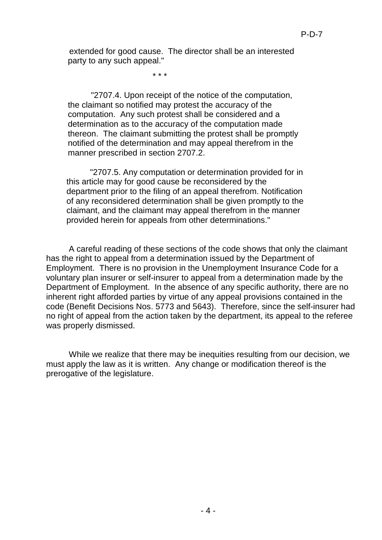extended for good cause. The director shall be an interested party to any such appeal."

\* \* \*

"2707.4. Upon receipt of the notice of the computation, the claimant so notified may protest the accuracy of the computation. Any such protest shall be considered and a determination as to the accuracy of the computation made thereon. The claimant submitting the protest shall be promptly notified of the determination and may appeal therefrom in the manner prescribed in section 2707.2.

"2707.5. Any computation or determination provided for in this article may for good cause be reconsidered by the department prior to the filing of an appeal therefrom. Notification of any reconsidered determination shall be given promptly to the claimant, and the claimant may appeal therefrom in the manner provided herein for appeals from other determinations."

A careful reading of these sections of the code shows that only the claimant has the right to appeal from a determination issued by the Department of Employment. There is no provision in the Unemployment Insurance Code for a voluntary plan insurer or self-insurer to appeal from a determination made by the Department of Employment. In the absence of any specific authority, there are no inherent right afforded parties by virtue of any appeal provisions contained in the code (Benefit Decisions Nos. 5773 and 5643). Therefore, since the self-insurer had no right of appeal from the action taken by the department, its appeal to the referee was properly dismissed.

While we realize that there may be inequities resulting from our decision, we must apply the law as it is written. Any change or modification thereof is the prerogative of the legislature.